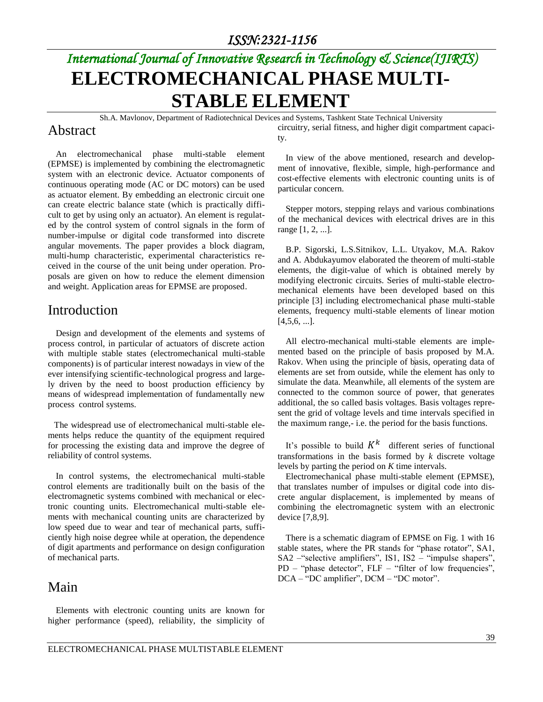# *International Journal of Innovative Research in Technology & Science(IJIRTS)* **ELECTROMECHANICAL PHASE MULTI-STABLE ELEMENT**

Sh.A. Mavlonov, Department of Radiotechnical Devices and Systems, Tashkent State Technical University

#### Abstract

An electromechanical phase multi-stable element (EPMSE) is implemented by combining the electromagnetic system with an electronic device. Actuator components of continuous operating mode (AC or DC motors) can be used as actuator element. By embedding an electronic circuit one can create electric balance state (which is practically difficult to get by using only an actuator). An element is regulated by the control system of control signals in the form of number-impulse or digital code transformed into discrete angular movements. The paper provides a block diagram, multi-hump characteristic, experimental characteristics received in the course of the unit being under operation. Proposals are given on how to reduce the element dimension and weight. Application areas for EPMSE are proposed.

### Introduction

Design and development of the elements and systems of process control, in particular of actuators of discrete action with multiple stable states (electromechanical multi-stable components) is of particular interest nowadays in view of the ever intensifying scientific-technological progress and largely driven by the need to boost production efficiency by means of widespread implementation of fundamentally new process control systems.

The widespread use of electromechanical multi-stable elements helps reduce the quantity of the equipment required for processing the existing data and improve the degree of reliability of control systems.

In control systems, the electromechanical multi-stable control elements are traditionally built on the basis of the electromagnetic systems combined with mechanical or electronic counting units. Electromechanical multi-stable elements with mechanical counting units are characterized by low speed due to wear and tear of mechanical parts, sufficiently high noise degree while at operation, the dependence of digit apartments and performance on design configuration of mechanical parts.

#### Main

Elements with electronic counting units are known for higher performance (speed), reliability, the simplicity of circuitry, serial fitness, and higher digit compartment capacity.

In view of the above mentioned, research and development of innovative, flexible, simple, high-performance and cost-effective elements with electronic counting units is of particular concern.

Stepper motors, stepping relays and various combinations of the mechanical devices with electrical drives are in this range [1, 2, ...].

B.P. Sigorski, L.S.Sitnikov, L.L. Utyakov, M.A. Rakov and A. Abdukayumov elaborated the theorem of multi-stable elements, the digit-value of which is obtained merely by modifying electronic circuits. Series of multi-stable electromechanical elements have been developed based on this principle [3] including electromechanical phase multi-stable elements, frequency multi-stable elements of linear motion  $[4,5,6, \ldots]$ .

All electro-mechanical multi-stable elements are implemented based on the principle of basis proposed by M.A. Rakov. When using the principle of basis, operating data of elements are set from outside, while the element has only to simulate the data. Meanwhile, all elements of the system are connected to the common source of power, that generates additional, the so called basis voltages. Basis voltages represent the grid of voltage levels and time intervals specified in the maximum range,- i.e. the period for the basis functions.

It's possible to build  $K^k$  different series of functional transformations in the basis formed by *k* discrete voltage levels by parting the period on *K* time intervals.

Electromechanical phase multi-stable element (EPMSE), that translates number of impulses or digital code into discrete angular displacement, is implemented by means of combining the electromagnetic system with an electronic device [7,8,9].

There is a schematic diagram of EPMSE on Fig. 1 with 16 stable states, where the PR stands for "phase rotator", SA1, SA2 –"selective amplifiers", IS1, IS2 – "impulse shapers", PD – "phase detector", FLF – "filter of low frequencies", DCA – "DC amplifier", DCM – "DC motor".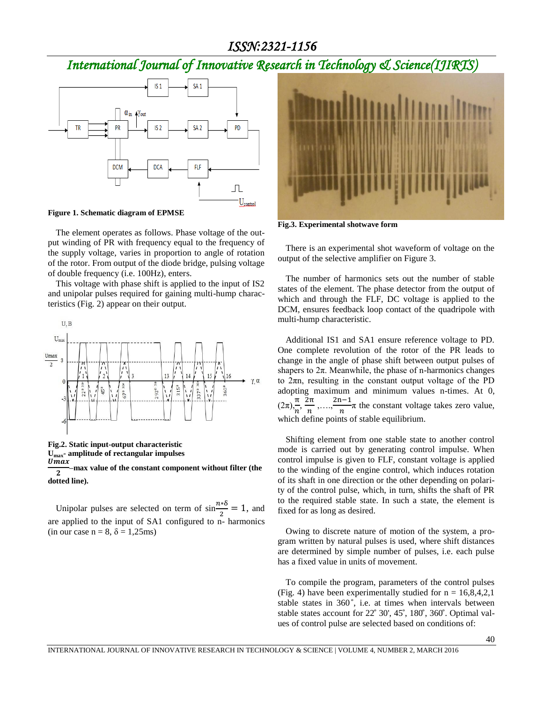### *ISSN:2321-1156*

# *International Journal of Innovative Research in Technology & Science(IJIRTS)*



**Figure 1. Schematic diagram of EPMSE**

The element operates as follows. Phase voltage of the output winding of PR with frequency equal to the frequency of the supply voltage, varies in proportion to angle of rotation of the rotor. From output of the diode bridge, pulsing voltage of double frequency (i.e. 100Hz), enters.

This voltage with phase shift is applied to the input of IS2 and unipolar pulses required for gaining multi-hump characteristics (Fig. 2) appear on their output.



**Fig.2. Static input-output characteristic Umax- amplitude of rectangular impulses**  $\overline{Umax}$  $\overline{2}$ **–max value of the constant component without filter (the** 

**dotted line).**

Unipolar pulses are selected on term of  $\sin \frac{n \times \delta}{2} = 1$ , and are applied to the input of SA1 configured to n- harmonics (in our case  $n = 8$ ,  $\delta = 1,25$ ms)



**Fig.3. Experimental shotwave form**

There is an experimental shot waveform of voltage on the output of the selective amplifier on Figure 3.

The number of harmonics sets out the number of stable states of the element. The phase detector from the output of which and through the FLF, DC voltage is applied to the DCM, ensures feedback loop contact of the quadripole with multi-hump characteristic.

Additional IS1 and SA1 ensure reference voltage to PD. One complete revolution of the rotor of the PR leads to change in the angle of phase shift between output pulses of shapers to 2π. Meanwhile, the phase of n-harmonics changes to 2πn, resulting in the constant output voltage of the PD adopting maximum and minimum values n-times. At 0,  $(2\pi), \frac{\pi}{2}$  $\frac{\pi}{n}$ ,  $\frac{2}{n}$  $\frac{2\pi}{n},...,\frac{2}{n}$  $\frac{n}{n}$  the constant voltage takes zero value, which define points of stable equilibrium.

Shifting element from one stable state to another control mode is carried out by generating control impulse. When control impulse is given to FLF, constant voltage is applied to the winding of the engine control, which induces rotation of its shaft in one direction or the other depending on polarity of the control pulse, which, in turn, shifts the shaft of PR to the required stable state. In such a state, the element is fixed for as long as desired.

Owing to discrete nature of motion of the system, a program written by natural pulses is used, where shift distances are determined by simple number of pulses, i.e. each pulse has a fixed value in units of movement.

To compile the program, parameters of the control pulses (Fig. 4) have been experimentally studied for  $n = 16,8,4,2,1$ stable states in 360°, i.e. at times when intervals between stable states account for  $22^{\circ}$  30',  $45^{\circ}$ ,  $180^{\circ}$ ,  $360^{\circ}$ . Optimal values of control pulse are selected based on conditions of: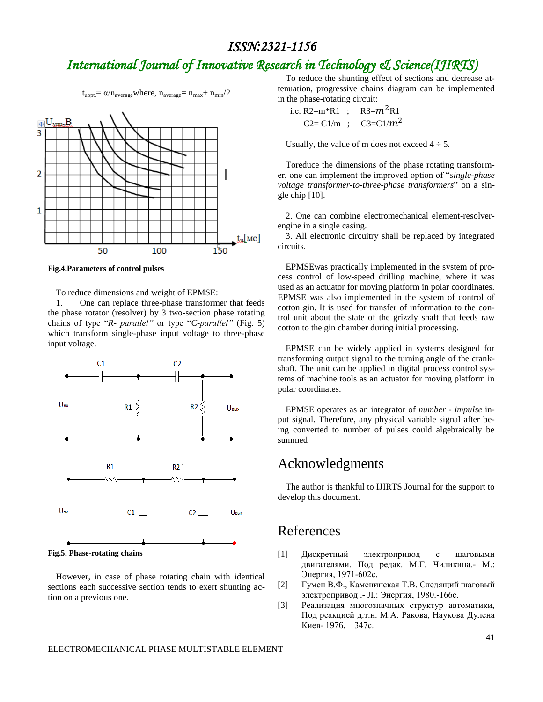# *International Journal of Innovative Research in Technology & Science(IJIRTS)*

 $t_{\text{uopt}} = \alpha/n_{\text{average}}$ where,  $n_{\text{average}} = n_{\text{max}} + n_{\text{min}}/2$ 



**Fig.4.Parameters of control pulses**

To reduce dimensions and weight of EPMSE:

1. One can replace three-phase transformer that feeds the phase rotator (resolver) by 3 two-section phase rotating chains of type "*R- parallel"* or type "*C-parallel"* (Fig. 5) which transform single-phase input voltage to three-phase input voltage.



**Fig.5. Phase-rotating chains**

However, in case of phase rotating chain with identical sections each successive section tends to exert shunting action on a previous one.

To reduce the shunting effect of sections and decrease attenuation, progressive chains diagram can be implemented in the phase-rotating circuit:

 i.е. R2=m\*R1 ; R3= R1 C2= C1/m ; C3=C1/

Usually, the value of m does not exceed  $4 \div 5$ .

Toreduce the dimensions of the phase rotating transformer, one can implement the improved option of "*single-phase voltage transformer-to-three-phase transformers*" on a single chip [10].

2. One can combine electromechanical element-resolverengine in a single casing.

3. All electronic circuitry shall be replaced by integrated circuits.

EPMSEwas practically implemented in the system of process control of low-speed drilling machine, where it was used as an actuator for moving platform in polar coordinates. EPMSE was also implemented in the system of control of cotton gin. It is used for transfer of information to the control unit about the state of the grizzly shaft that feeds raw cotton to the gin chamber during initial processing.

EPMSE can be widely applied in systems designed for transforming output signal to the turning angle of the crankshaft. The unit can be applied in digital process control systems of machine tools as an actuator for moving platform in polar coordinates.

EPMSE operates as an integrator of *number - impulse* input signal. Therefore, any physical variable signal after being converted to number of pulses could algebraically be summed

### Acknowledgments

The author is thankful to IJIRTS Journal for the support to develop this document.

### References

- [1] Дискретный электропривод с шаговыми двигателями. Под редак. М.Г. Чиликина.- М.: Энергия, 1971-602с.
- [2] Гумен В.Ф., Каменинская Т.В. Следящий шаговый электропривод .- Л.: Энергия, 1980.-166с.
- [3] Реализация многозначных структур автоматики, Под реакцией д.т.н. М.А. Ракова, Наукова Дулена Киев- 1976. – 347с.